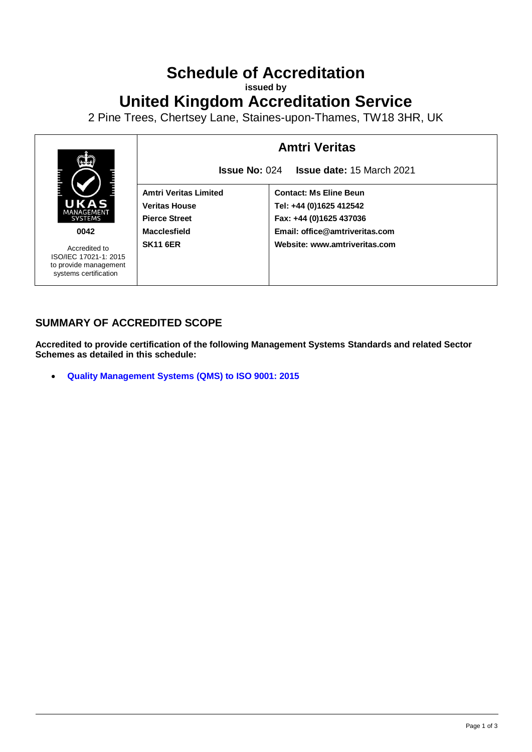# **Schedule of Accreditation**

**issued by**

# **United Kingdom Accreditation Service**

2 Pine Trees, Chertsey Lane, Staines-upon-Thames, TW18 3HR, UK



### **SUMMARY OF ACCREDITED SCOPE**

**Accredited to provide certification of the following Management Systems Standards and related Sector Schemes as detailed in this schedule:**

• **[Quality Management Systems](#page-2-0) (QMS) to ISO 9001: 2015**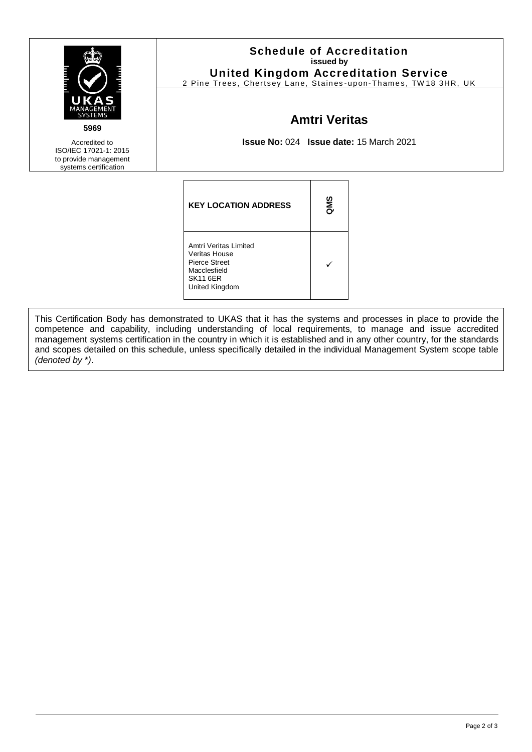| UKAS<br>MANAGEMENT<br><b>SYSTEMS</b><br>5969<br>Accredited to<br>ISO/IEC 17021-1: 2015 | <b>Schedule of Accreditation</b><br>issued by<br><b>United Kingdom Accreditation Service</b><br>2 Pine Trees, Chertsey Lane, Staines-upon-Thames, TW18 3HR, UK<br><b>Amtri Veritas</b><br>Issue No: 024 Issue date: 15 March 2021 |     |  |  |
|----------------------------------------------------------------------------------------|-----------------------------------------------------------------------------------------------------------------------------------------------------------------------------------------------------------------------------------|-----|--|--|
| to provide management<br>systems certification                                         |                                                                                                                                                                                                                                   |     |  |  |
|                                                                                        | <b>KEY LOCATION ADDRESS</b>                                                                                                                                                                                                       | ams |  |  |
|                                                                                        | Amtri Veritas Limited<br>Veritas House<br><b>Pierce Street</b><br>Macclesfield<br><b>SK11 6ER</b><br>United Kingdom                                                                                                               | ✓   |  |  |

This Certification Body has demonstrated to UKAS that it has the systems and processes in place to provide the competence and capability, including understanding of local requirements, to manage and issue accredited management systems certification in the country in which it is established and in any other country, for the standards and scopes detailed on this schedule, unless specifically detailed in the individual Management System scope table *(denoted by* \**)*.